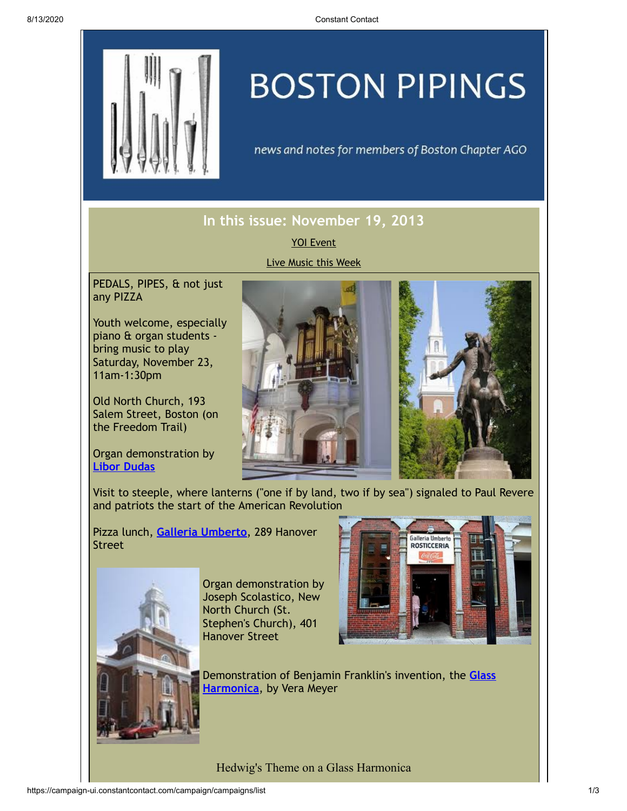

## **BOSTON PIPINGS**

news and notes for members of Boston Chapter AGO

## **In this issue: November 19, 2013**

YOI [Event](#page-0-0) Live [Music](#page-1-0) this Week

<span id="page-0-0"></span>PEDALS, PIPES, & not just any PIZZA

Youth welcome, especially piano & organ students bring music to play Saturday, November 23, 11am-1:30pm

Old North Church, 193 Salem Street, Boston (on the Freedom Trail)

Organ demonstration by **[Libor Dudas](http://oldnorth.com/oldnorthchurch/music/)**





Visit to steeple, where lanterns ("one if by land, two if by sea") signaled to Paul Revere and patriots the start of the American Revolution

Pizza lunch, **Galleria [Umberto](http://www.yelp.com/biz/galleria-umberto-boston)**, 289 Hanover Street



Organ demonstration by Joseph Scolastico, New North Church (St. Stephen's Church), 401 Hanover Street



[Demonstration](http://en.wikipedia.org/wiki/Glass_harmonica) of Benjamin Franklin's invention, the **Glass Harmonica**, by Vera Meyer

Hedwig's Theme on a Glass Harmonica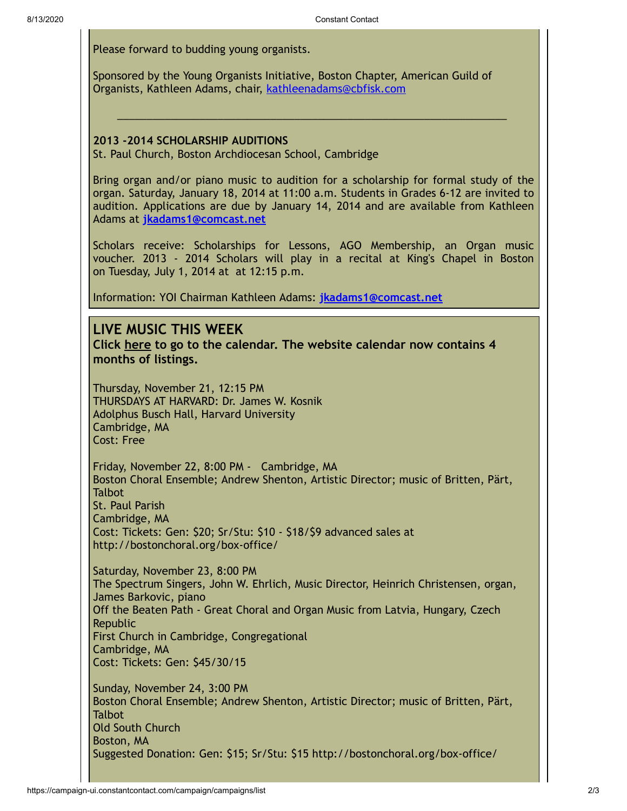Please forward to budding young organists.

Sponsored by the Young Organists Initiative, Boston Chapter, American Guild of Organists, Kathleen Adams, chair, [kathleenadams@cbfisk.com](mailto:kathleenadams@cbfisk.com)

## **2013 -2014 SCHOLARSHIP AUDITIONS**

St. Paul Church, Boston Archdiocesan School, Cambridge

Bring organ and/or piano music to audition for a scholarship for formal study of the organ. Saturday, January 18, 2014 at 11:00 a.m. Students in Grades 6-12 are invited to audition. Applications are due by January 14, 2014 and are available from Kathleen Adams at **[jkadams1@comcast.net](mailto:jkadams1@comcast.net)**

 $\_$  , and the set of the set of the set of the set of the set of the set of the set of the set of the set of the set of the set of the set of the set of the set of the set of the set of the set of the set of the set of th

Scholars receive: Scholarships for Lessons, AGO Membership, an Organ music voucher. 2013 - 2014 Scholars will play in a recital at King's Chapel in Boston on Tuesday, July 1, 2014 at at 12:15 p.m.

Information: YOI Chairman Kathleen Adams: **[jkadams1@comcast.net](mailto:jkadams1@comcast.net)**

## <span id="page-1-0"></span>**LIVE MUSIC THIS WEEK**

**Click [here](http://www.bostonago.org/info/calendar/) to go to the calendar. The website calendar now contains 4 months of listings.**

Thursday, November 21, 12:15 PM THURSDAYS AT HARVARD: Dr. James W. Kosnik Adolphus Busch Hall, Harvard University Cambridge, MA Cost: Free

Friday, November 22, 8:00 PM - Cambridge, MA Boston Choral Ensemble; Andrew Shenton, Artistic Director; music of Britten, Pärt, **Talbot** St. Paul Parish Cambridge, MA Cost: Tickets: Gen: \$20; Sr/Stu: \$10 - \$18/\$9 advanced sales at http://bostonchoral.org/box-office/

Saturday, November 23, 8:00 PM The Spectrum Singers, John W. Ehrlich, Music Director, Heinrich Christensen, organ, James Barkovic, piano Off the Beaten Path - Great Choral and Organ Music from Latvia, Hungary, Czech Republic First Church in Cambridge, Congregational Cambridge, MA Cost: Tickets: Gen: \$45/30/15

Sunday, November 24, 3:00 PM Boston Choral Ensemble; Andrew Shenton, Artistic Director; music of Britten, Pärt, **Talbot** Old South Church Boston, MA Suggested Donation: Gen: \$15; Sr/Stu: \$15 http://bostonchoral.org/box-office/